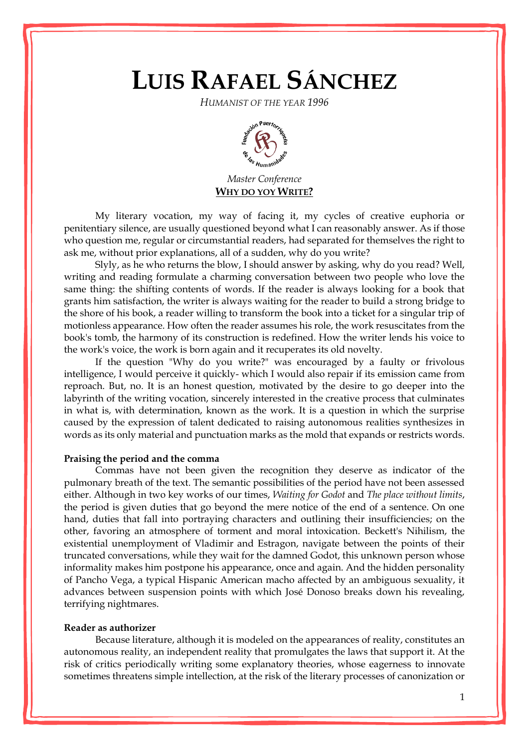# **LUIS RAFAEL SÁNCHEZ**

*HUMANIST OF THE YEAR 1996*



*Master Conference* **WHY DO YOY WRITE?**

My literary vocation, my way of facing it, my cycles of creative euphoria or penitentiary silence, are usually questioned beyond what I can reasonably answer. As if those who question me, regular or circumstantial readers, had separated for themselves the right to ask me, without prior explanations, all of a sudden, why do you write?

Slyly, as he who returns the blow, I should answer by asking, why do you read? Well, writing and reading formulate a charming conversation between two people who love the same thing: the shifting contents of words. If the reader is always looking for a book that grants him satisfaction, the writer is always waiting for the reader to build a strong bridge to the shore of his book, a reader willing to transform the book into a ticket for a singular trip of motionless appearance. How often the reader assumes his role, the work resuscitates from the book's tomb, the harmony of its construction is redefined. How the writer lends his voice to the work's voice, the work is born again and it recuperates its old novelty.

If the question "Why do you write?" was encouraged by a faulty or frivolous intelligence, I would perceive it quickly- which I would also repair if its emission came from reproach. But, no. It is an honest question, motivated by the desire to go deeper into the labyrinth of the writing vocation, sincerely interested in the creative process that culminates in what is, with determination, known as the work. It is a question in which the surprise caused by the expression of talent dedicated to raising autonomous realities synthesizes in words as its only material and punctuation marks as the mold that expands or restricts words.

#### **Praising the period and the comma**

Commas have not been given the recognition they deserve as indicator of the pulmonary breath of the text. The semantic possibilities of the period have not been assessed either. Although in two key works of our times, *Waiting for Godot* and *The place without limits*, the period is given duties that go beyond the mere notice of the end of a sentence. On one hand, duties that fall into portraying characters and outlining their insufficiencies; on the other, favoring an atmosphere of torment and moral intoxication. Beckett's Nihilism, the existential unemployment of Vladimir and Estragon, navigate between the points of their truncated conversations, while they wait for the damned Godot, this unknown person whose informality makes him postpone his appearance, once and again. And the hidden personality of Pancho Vega, a typical Hispanic American macho affected by an ambiguous sexuality, it advances between suspension points with which José Donoso breaks down his revealing, terrifying nightmares.

## **Reader as authorizer**

Because literature, although it is modeled on the appearances of reality, constitutes an autonomous reality, an independent reality that promulgates the laws that support it. At the risk of critics periodically writing some explanatory theories, whose eagerness to innovate sometimes threatens simple intellection, at the risk of the literary processes of canonization or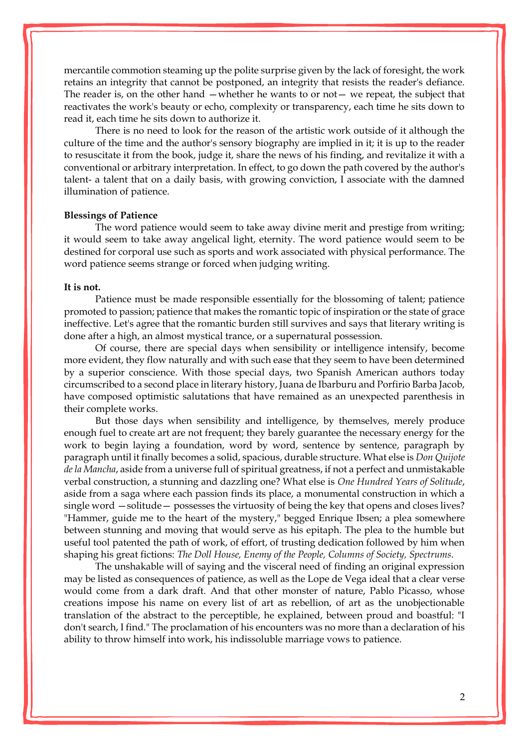mercantile commotion steaming up the polite surprise given by the lack of foresight, the work retains an integrity that cannot be postponed, an integrity that resists the reader's defiance. The reader is, on the other hand —whether he wants to or not— we repeat, the subject that reactivates the work's beauty or echo, complexity or transparency, each time he sits down to read it, each time he sits down to authorize it.

There is no need to look for the reason of the artistic work outside of it although the culture of the time and the author's sensory biography are implied in it; it is up to the reader to resuscitate it from the book, judge it, share the news of his finding, and revitalize it with a conventional or arbitrary interpretation. In effect, to go down the path covered by the author's talent- a talent that on a daily basis, with growing conviction, I associate with the damned illumination of patience.

#### **Blessings of Patience**

The word patience would seem to take away divine merit and prestige from writing; it would seem to take away angelical light, eternity. The word patience would seem to be destined for corporal use such as sports and work associated with physical performance. The word patience seems strange or forced when judging writing.

#### **It is not.**

Patience must be made responsible essentially for the blossoming of talent; patience promoted to passion; patience that makes the romantic topic of inspiration or the state of grace ineffective. Let's agree that the romantic burden still survives and says that literary writing is done after a high, an almost mystical trance, or a supernatural possession.

Of course, there are special days when sensibility or intelligence intensify, become more evident, they flow naturally and with such ease that they seem to have been determined by a superior conscience. With those special days, two Spanish American authors today circumscribed to a second place in literary history, Juana de Ibarburu and Porfirio Barba Jacob, have composed optimistic salutations that have remained as an unexpected parenthesis in their complete works.

But those days when sensibility and intelligence, by themselves, merely produce enough fuel to create art are not frequent; they barely guarantee the necessary energy for the work to begin laying a foundation, word by word, sentence by sentence, paragraph by paragraph until it finally becomes a solid, spacious, durable structure. What else is *Don Quijote de la Mancha*, aside from a universe full of spiritual greatness, if not a perfect and unmistakable verbal construction, a stunning and dazzling one? What else is *One Hundred Years of Solitude*, aside from a saga where each passion finds its place, a monumental construction in which a single word —solitude— possesses the virtuosity of being the key that opens and closes lives? "Hammer, guide me to the heart of the mystery," begged Enrique Ibsen; a plea somewhere between stunning and moving that would serve as his epitaph. The plea to the humble but useful tool patented the path of work, of effort, of trusting dedication followed by him when shaping his great fictions: *The Doll House, Enemy of the People, Columns of Society, Spectrums*.

The unshakable will of saying and the visceral need of finding an original expression may be listed as consequences of patience, as well as the Lope de Vega ideal that a clear verse would come from a dark draft. And that other monster of nature, Pablo Picasso, whose creations impose his name on every list of art as rebellion, of art as the unobjectionable translation of the abstract to the perceptible, he explained, between proud and boastful: "I don't search, I find." The proclamation of his encounters was no more than a declaration of his ability to throw himself into work, his indissoluble marriage vows to patience.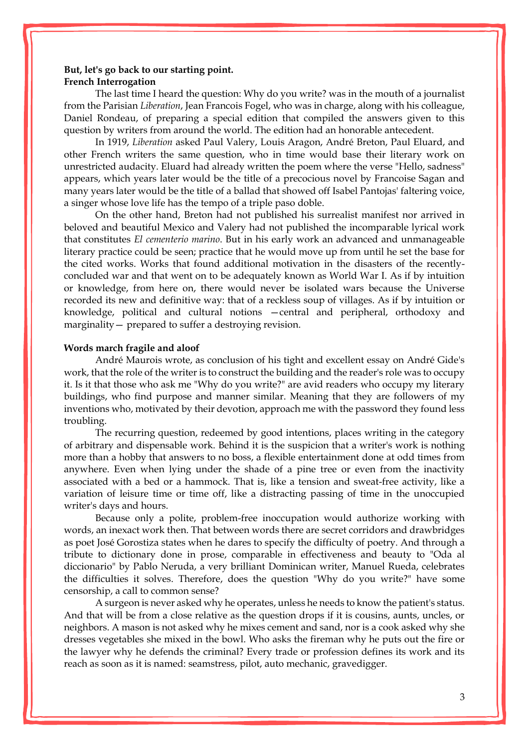# **But, let's go back to our starting point. French Interrogation**

The last time I heard the question: Why do you write? was in the mouth of a journalist from the Parisian *Liberation*, Jean Francois Fogel, who was in charge, along with his colleague, Daniel Rondeau, of preparing a special edition that compiled the answers given to this question by writers from around the world. The edition had an honorable antecedent.

In 1919, *Liberation* asked Paul Valery, Louis Aragon, André Breton, Paul Eluard, and other French writers the same question, who in time would base their literary work on unrestricted audacity. Eluard had already written the poem where the verse "Hello, sadness" appears, which years later would be the title of a precocious novel by Francoise Sagan and many years later would be the title of a ballad that showed off Isabel Pantojas' faltering voice, a singer whose love life has the tempo of a triple paso doble.

On the other hand, Breton had not published his surrealist manifest nor arrived in beloved and beautiful Mexico and Valery had not published the incomparable lyrical work that constitutes *El cementerio marino*. But in his early work an advanced and unmanageable literary practice could be seen; practice that he would move up from until he set the base for the cited works. Works that found additional motivation in the disasters of the recentlyconcluded war and that went on to be adequately known as World War I. As if by intuition or knowledge, from here on, there would never be isolated wars because the Universe recorded its new and definitive way: that of a reckless soup of villages. As if by intuition or knowledge, political and cultural notions —central and peripheral, orthodoxy and marginality— prepared to suffer a destroying revision.

#### **Words march fragile and aloof**

André Maurois wrote, as conclusion of his tight and excellent essay on André Gide's work, that the role of the writer is to construct the building and the reader's role was to occupy it. Is it that those who ask me "Why do you write?" are avid readers who occupy my literary buildings, who find purpose and manner similar. Meaning that they are followers of my inventions who, motivated by their devotion, approach me with the password they found less troubling.

The recurring question, redeemed by good intentions, places writing in the category of arbitrary and dispensable work. Behind it is the suspicion that a writer's work is nothing more than a hobby that answers to no boss, a flexible entertainment done at odd times from anywhere. Even when lying under the shade of a pine tree or even from the inactivity associated with a bed or a hammock. That is, like a tension and sweat-free activity, like a variation of leisure time or time off, like a distracting passing of time in the unoccupied writer's days and hours.

Because only a polite, problem-free inoccupation would authorize working with words, an inexact work then. That between words there are secret corridors and drawbridges as poet José Gorostiza states when he dares to specify the difficulty of poetry. And through a tribute to dictionary done in prose, comparable in effectiveness and beauty to "Oda al diccionario" by Pablo Neruda, a very brilliant Dominican writer, Manuel Rueda, celebrates the difficulties it solves. Therefore, does the question "Why do you write?" have some censorship, a call to common sense?

A surgeon is never asked why he operates, unless he needs to know the patient's status. And that will be from a close relative as the question drops if it is cousins, aunts, uncles, or neighbors. A mason is not asked why he mixes cement and sand, nor is a cook asked why she dresses vegetables she mixed in the bowl. Who asks the fireman why he puts out the fire or the lawyer why he defends the criminal? Every trade or profession defines its work and its reach as soon as it is named: seamstress, pilot, auto mechanic, gravedigger.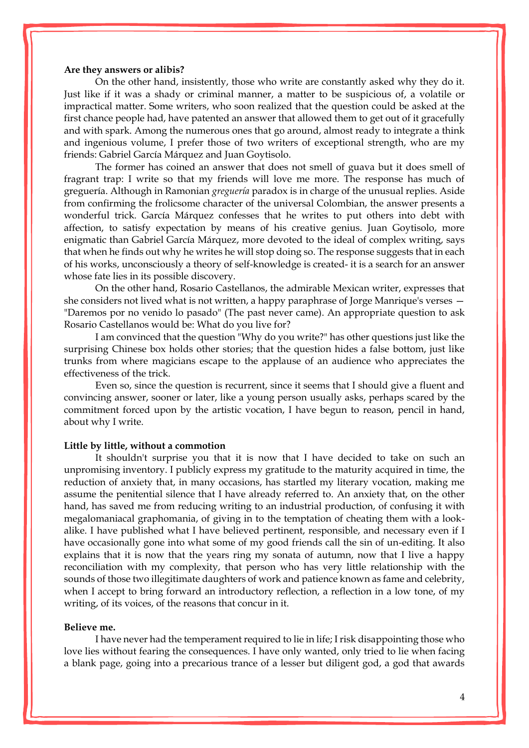#### **Are they answers or alibis?**

On the other hand, insistently, those who write are constantly asked why they do it. Just like if it was a shady or criminal manner, a matter to be suspicious of, a volatile or impractical matter. Some writers, who soon realized that the question could be asked at the first chance people had, have patented an answer that allowed them to get out of it gracefully and with spark. Among the numerous ones that go around, almost ready to integrate a think and ingenious volume, I prefer those of two writers of exceptional strength, who are my friends: Gabriel García Márquez and Juan Goytisolo.

The former has coined an answer that does not smell of guava but it does smell of fragrant trap: I write so that my friends will love me more. The response has much of greguería. Although in Ramonian *greguería* paradox is in charge of the unusual replies. Aside from confirming the frolicsome character of the universal Colombian, the answer presents a wonderful trick. García Márquez confesses that he writes to put others into debt with affection, to satisfy expectation by means of his creative genius. Juan Goytisolo, more enigmatic than Gabriel García Márquez, more devoted to the ideal of complex writing, says that when he finds out why he writes he will stop doing so. The response suggests that in each of his works, unconsciously a theory of self-knowledge is created- it is a search for an answer whose fate lies in its possible discovery.

On the other hand, Rosario Castellanos, the admirable Mexican writer, expresses that she considers not lived what is not written, a happy paraphrase of Jorge Manrique's verses — "Daremos por no venido lo pasado" (The past never came). An appropriate question to ask Rosario Castellanos would be: What do you live for?

I am convinced that the question "Why do you write?" has other questions just like the surprising Chinese box holds other stories; that the question hides a false bottom, just like trunks from where magicians escape to the applause of an audience who appreciates the effectiveness of the trick.

Even so, since the question is recurrent, since it seems that I should give a fluent and convincing answer, sooner or later, like a young person usually asks, perhaps scared by the commitment forced upon by the artistic vocation, I have begun to reason, pencil in hand, about why I write.

#### **Little by little, without a commotion**

It shouldn't surprise you that it is now that I have decided to take on such an unpromising inventory. I publicly express my gratitude to the maturity acquired in time, the reduction of anxiety that, in many occasions, has startled my literary vocation, making me assume the penitential silence that I have already referred to. An anxiety that, on the other hand, has saved me from reducing writing to an industrial production, of confusing it with megalomaniacal graphomania, of giving in to the temptation of cheating them with a lookalike. I have published what I have believed pertinent, responsible, and necessary even if I have occasionally gone into what some of my good friends call the sin of un-editing. It also explains that it is now that the years ring my sonata of autumn, now that I live a happy reconciliation with my complexity, that person who has very little relationship with the sounds of those two illegitimate daughters of work and patience known as fame and celebrity, when I accept to bring forward an introductory reflection, a reflection in a low tone, of my writing, of its voices, of the reasons that concur in it.

# **Believe me.**

I have never had the temperament required to lie in life; I risk disappointing those who love lies without fearing the consequences. I have only wanted, only tried to lie when facing a blank page, going into a precarious trance of a lesser but diligent god, a god that awards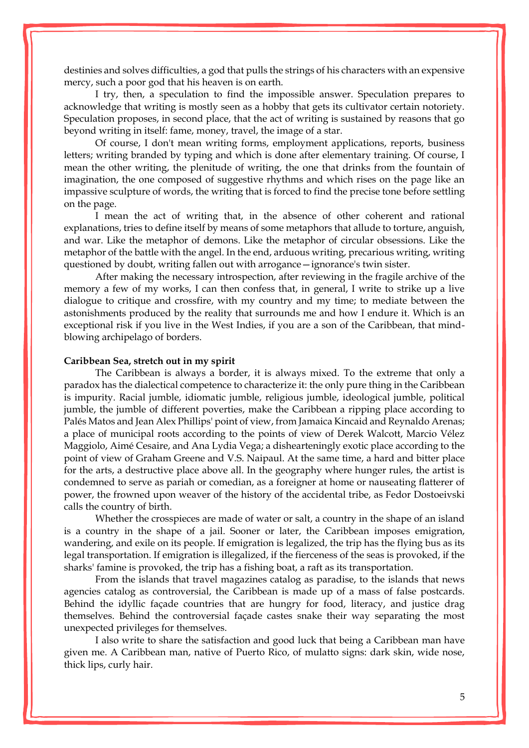destinies and solves difficulties, a god that pulls the strings of his characters with an expensive mercy, such a poor god that his heaven is on earth.

I try, then, a speculation to find the impossible answer. Speculation prepares to acknowledge that writing is mostly seen as a hobby that gets its cultivator certain notoriety. Speculation proposes, in second place, that the act of writing is sustained by reasons that go beyond writing in itself: fame, money, travel, the image of a star.

Of course, I don't mean writing forms, employment applications, reports, business letters; writing branded by typing and which is done after elementary training. Of course, I mean the other writing, the plenitude of writing, the one that drinks from the fountain of imagination, the one composed of suggestive rhythms and which rises on the page like an impassive sculpture of words, the writing that is forced to find the precise tone before settling on the page.

I mean the act of writing that, in the absence of other coherent and rational explanations, tries to define itself by means of some metaphors that allude to torture, anguish, and war. Like the metaphor of demons. Like the metaphor of circular obsessions. Like the metaphor of the battle with the angel. In the end, arduous writing, precarious writing, writing questioned by doubt, writing fallen out with arrogance—ignorance's twin sister.

After making the necessary introspection, after reviewing in the fragile archive of the memory a few of my works, I can then confess that, in general, I write to strike up a live dialogue to critique and crossfire, with my country and my time; to mediate between the astonishments produced by the reality that surrounds me and how I endure it. Which is an exceptional risk if you live in the West Indies, if you are a son of the Caribbean, that mindblowing archipelago of borders.

#### **Caribbean Sea, stretch out in my spirit**

The Caribbean is always a border, it is always mixed. To the extreme that only a paradox has the dialectical competence to characterize it: the only pure thing in the Caribbean is impurity. Racial jumble, idiomatic jumble, religious jumble, ideological jumble, political jumble, the jumble of different poverties, make the Caribbean a ripping place according to Palés Matos and Jean Alex Phillips' point of view, from Jamaica Kincaid and Reynaldo Arenas; a place of municipal roots according to the points of view of Derek Walcott, Marcio Vélez Maggiolo, Aimé Cesaire, and Ana Lydia Vega; a dishearteningly exotic place according to the point of view of Graham Greene and [V.S. Naipaul.](http://www.enciclopediapr.org/ing/article.cfm?ref=11091403) At the same time, a hard and bitter place for the arts, a destructive place above all. In the geography where hunger rules, the artist is condemned to serve as pariah or comedian, as a foreigner at home or nauseating flatterer of power, the frowned upon weaver of the history of the accidental tribe, as Fedor Dostoeivski calls the country of birth.

Whether the crosspieces are made of water or salt, a country in the shape of an island is a country in the shape of a jail. Sooner or later, the Caribbean imposes emigration, wandering, and exile on its people. If emigration is legalized, the trip has the flying bus as its legal transportation. If emigration is illegalized, if the fierceness of the seas is provoked, if the sharks' famine is provoked, the trip has a fishing boat, a raft as its transportation.

From the islands that travel magazines catalog as paradise, to the islands that news agencies catalog as controversial, the Caribbean is made up of a mass of false postcards. Behind the idyllic façade countries that are hungry for food, literacy, and justice drag themselves. Behind the controversial façade castes snake their way separating the most unexpected privileges for themselves.

I also write to share the satisfaction and good luck that being a Caribbean man have given me. A Caribbean man, native of Puerto Rico, of mulatto signs: dark skin, wide nose, thick lips, curly hair.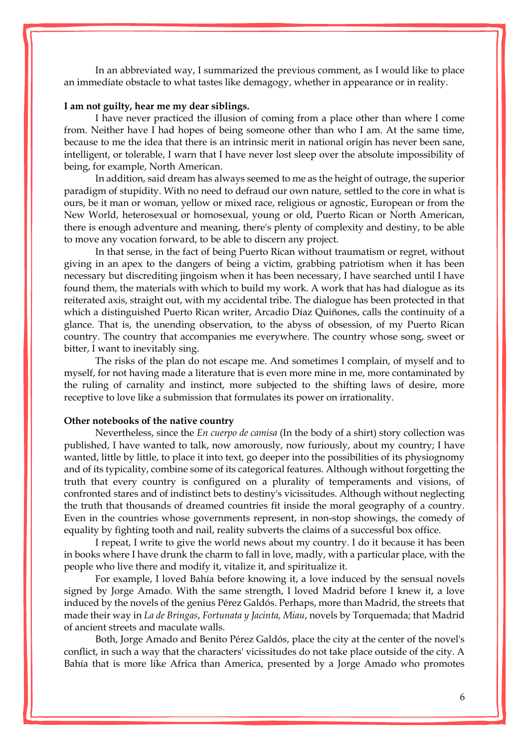In an abbreviated way, I summarized the previous comment, as I would like to place an immediate obstacle to what tastes like demagogy, whether in appearance or in reality.

## **I am not guilty, hear me my dear siblings.**

I have never practiced the illusion of coming from a place other than where I come from. Neither have I had hopes of being someone other than who I am. At the same time, because to me the idea that there is an intrinsic merit in national origin has never been sane, intelligent, or tolerable, I warn that I have never lost sleep over the absolute impossibility of being, for example, North American.

In addition, said dream has always seemed to me as the height of outrage, the superior paradigm of stupidity. With no need to defraud our own nature, settled to the core in what is ours, be it man or woman, yellow or mixed race, religious or agnostic, European or from the New World, heterosexual or homosexual, young or old, Puerto Rican or North American, there is enough adventure and meaning, there's plenty of complexity and destiny, to be able to move any vocation forward, to be able to discern any project.

In that sense, in the fact of being Puerto Rican without traumatism or regret, without giving in an apex to the dangers of being a victim, grabbing patriotism when it has been necessary but discrediting jingoism when it has been necessary, I have searched until I have found them, the materials with which to build my work. A work that has had dialogue as its reiterated axis, straight out, with my accidental tribe. The dialogue has been protected in that which a distinguished Puerto Rican writer, Arcadio Díaz Quiñones, calls the continuity of a glance. That is, the unending observation, to the abyss of obsession, of my Puerto Rican country. The country that accompanies me everywhere. The country whose song, sweet or bitter, I want to inevitably sing.

The risks of the plan do not escape me. And sometimes I complain, of myself and to myself, for not having made a literature that is even more mine in me, more contaminated by the ruling of carnality and instinct, more subjected to the shifting laws of desire, more receptive to love like a submission that formulates its power on irrationality.

#### **Other notebooks of the native country**

Nevertheless, since the *En cuerpo de camisa* (In the body of a shirt) story collection was published, I have wanted to talk, now amorously, now furiously, about my country; I have wanted, little by little, to place it into text, go deeper into the possibilities of its physiognomy and of its typicality, combine some of its categorical features. Although without forgetting the truth that every country is configured on a plurality of temperaments and visions, of confronted stares and of indistinct bets to destiny's vicissitudes. Although without neglecting the truth that thousands of dreamed countries fit inside the moral geography of a country. Even in the countries whose governments represent, in non-stop showings, the comedy of equality by fighting tooth and nail, reality subverts the claims of a successful box office.

I repeat, I write to give the world news about my country. I do it because it has been in books where I have drunk the charm to fall in love, madly, with a particular place, with the people who live there and modify it, vitalize it, and spiritualize it.

For example, I loved Bahía before knowing it, a love induced by the sensual novels signed by Jorge Amado. With the same strength, I loved Madrid before I knew it, a love induced by the novels of the genius Pérez Galdós. Perhaps, more than Madrid, the streets that made their way in *La de Bringas*, *Fortunata y Jacinta, Miau*, novels by Torquemada; that Madrid of ancient streets and maculate walls.

Both, Jorge Amado and Benito Pérez Galdós, place the city at the center of the novel's conflict, in such a way that the characters' vicissitudes do not take place outside of the city. A Bahía that is more like Africa than America, presented by a Jorge Amado who promotes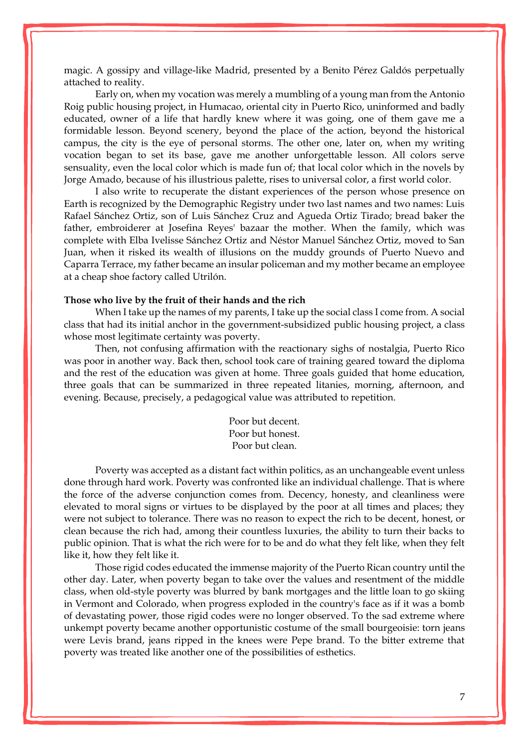magic. A gossipy and village-like Madrid, presented by a Benito Pérez Galdós perpetually attached to reality.

Early on, when my vocation was merely a mumbling of a young man from the Antonio Roig public housing project, in [Humacao,](http://www.enciclopediapr.org/ing/article.cfm?ref=07122002) oriental city in Puerto Rico, uninformed and badly educated, owner of a life that hardly knew where it was going, one of them gave me a formidable lesson. Beyond scenery, beyond the place of the action, beyond the historical campus, the city is the eye of personal storms. The other one, later on, when my writing vocation began to set its base, gave me another unforgettable lesson. All colors serve sensuality, even the local color which is made fun of; that local color which in the novels by Jorge Amado, because of his illustrious palette, rises to universal color, a first world color.

I also write to recuperate the distant experiences of the person whose presence on Earth is recognized by the Demographic Registry under two last names and two names: Luis Rafael Sánchez Ortiz, son of Luis Sánchez Cruz and Agueda Ortiz Tirado; bread baker the father, embroiderer at Josefina Reyes' bazaar the mother. When the family, which was complete with Elba Ivelisse Sánchez Ortiz and Néstor Manuel Sánchez Ortiz, moved to San Juan, when it risked its wealth of illusions on the muddy grounds of Puerto Nuevo and Caparra Terrace, my father became an insular policeman and my mother became an employee at a cheap shoe factory called Utrilón.

#### **Those who live by the fruit of their hands and the rich**

When I take up the names of my parents, I take up the social class I come from. A social class that had its initial anchor in the government-subsidized public housing project, a class whose most legitimate certainty was poverty.

Then, not confusing affirmation with the reactionary sighs of nostalgia, Puerto Rico was poor in another way. Back then, school took care of training geared toward the diploma and the rest of the education was given at home. Three goals guided that home education, three goals that can be summarized in three repeated litanies, morning, afternoon, and evening. Because, precisely, a pedagogical value was attributed to repetition.

> Poor but decent. Poor but honest. Poor but clean.

Poverty was accepted as a distant fact within politics, as an unchangeable event unless done through hard work. Poverty was confronted like an individual challenge. That is where the force of the adverse conjunction comes from. Decency, honesty, and cleanliness were elevated to moral signs or virtues to be displayed by the poor at all times and places; they were not subject to tolerance. There was no reason to expect the rich to be decent, honest, or clean because the rich had, among their countless luxuries, the ability to turn their backs to public opinion. That is what the rich were for to be and do what they felt like, when they felt like it, how they felt like it.

Those rigid codes educated the immense majority of the Puerto Rican country until the other day. Later, when poverty began to take over the values and resentment of the middle class, when old-style poverty was blurred by bank mortgages and the little loan to go skiing in Vermont and Colorado, when progress exploded in the country's face as if it was a bomb of devastating power, those rigid codes were no longer observed. To the sad extreme where unkempt poverty became another opportunistic costume of the small bourgeoisie: torn jeans were Levis brand, jeans ripped in the knees were Pepe brand. To the bitter extreme that poverty was treated like another one of the possibilities of esthetics.